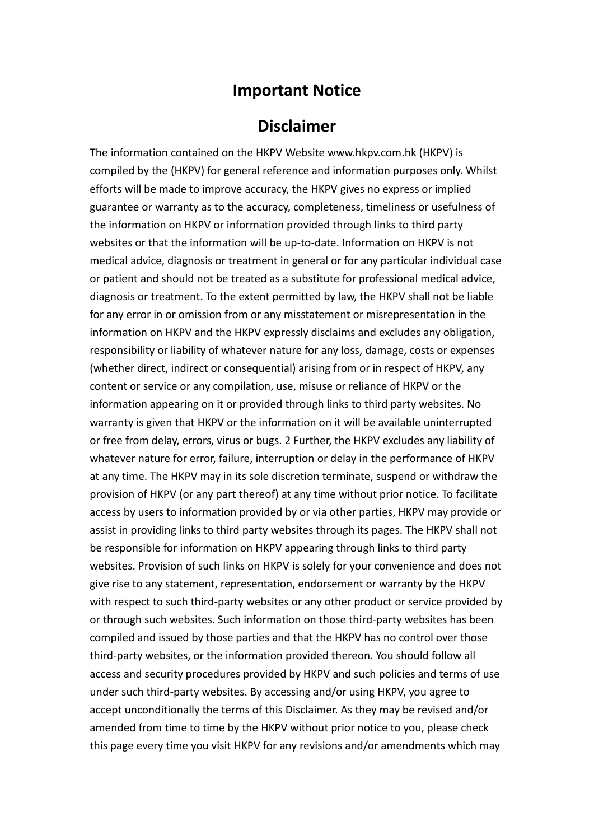## **Important Notice**

## **Disclaimer**

The information contained on the HKPV Website www.hkpv.com.hk (HKPV) is compiled by the (HKPV) for general reference and information purposes only. Whilst efforts will be made to improve accuracy, the HKPV gives no express or implied guarantee or warranty as to the accuracy, completeness, timeliness or usefulness of the information on HKPV or information provided through links to third party websites or that the information will be up-to-date. Information on HKPV is not medical advice, diagnosis or treatment in general or for any particular individual case or patient and should not be treated as a substitute for professional medical advice, diagnosis or treatment. To the extent permitted by law, the HKPV shall not be liable for any error in or omission from or any misstatement or misrepresentation in the information on HKPV and the HKPV expressly disclaims and excludes any obligation, responsibility or liability of whatever nature for any loss, damage, costs or expenses (whether direct, indirect or consequential) arising from or in respect of HKPV, any content or service or any compilation, use, misuse or reliance of HKPV or the information appearing on it or provided through links to third party websites. No warranty is given that HKPV or the information on it will be available uninterrupted or free from delay, errors, virus or bugs. 2 Further, the HKPV excludes any liability of whatever nature for error, failure, interruption or delay in the performance of HKPV at any time. The HKPV may in its sole discretion terminate, suspend or withdraw the provision of HKPV (or any part thereof) at any time without prior notice. To facilitate access by users to information provided by or via other parties, HKPV may provide or assist in providing links to third party websites through its pages. The HKPV shall not be responsible for information on HKPV appearing through links to third party websites. Provision of such links on HKPV is solely for your convenience and does not give rise to any statement, representation, endorsement or warranty by the HKPV with respect to such third-party websites or any other product or service provided by or through such websites. Such information on those third-party websites has been compiled and issued by those parties and that the HKPV has no control over those third-party websites, or the information provided thereon. You should follow all access and security procedures provided by HKPV and such policies and terms of use under such third-party websites. By accessing and/or using HKPV, you agree to accept unconditionally the terms of this Disclaimer. As they may be revised and/or amended from time to time by the HKPV without prior notice to you, please check this page every time you visit HKPV for any revisions and/or amendments which may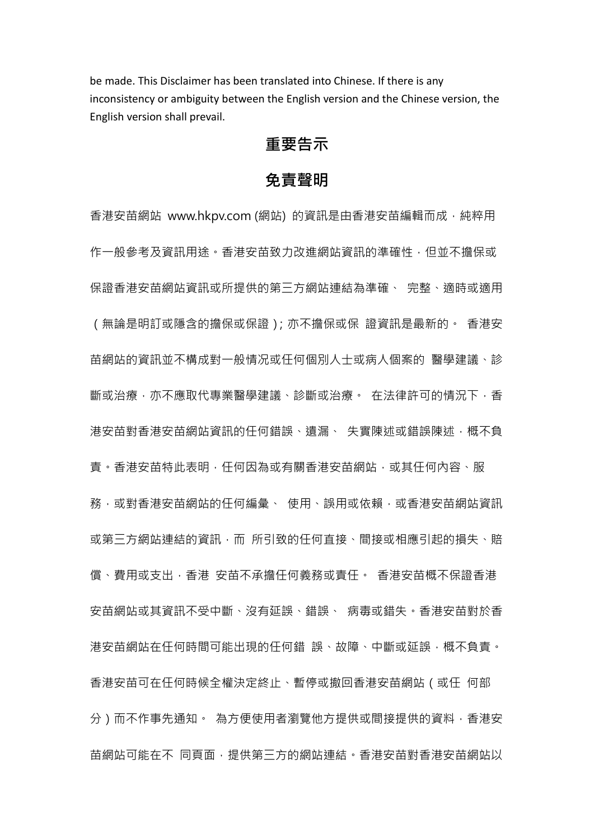be made. This Disclaimer has been translated into Chinese. If there is any inconsistency or ambiguity between the English version and the Chinese version, the English version shall prevail.

## **重要告示**

## **免責聲明**

香港安苗網站 www.hkpv.com (網站) 的資訊是由香港安苗編輯而成,純粹用 作一般參考及資訊用途。香港安苗致力改進網站資訊的準確性,但並不擔保或 保證香港安苗網站資訊或所提供的第三方網站連結為準確、 完整、適時或適用 (無論是明訂或隱含的擔保或保證);亦不擔保或保 證資訊是最新的。 香港安 苗網站的資訊並不構成對一般情况或任何個別人十或病人個案的 醫學建議、診 斷或治療,亦不應取代專業醫學建議、診斷或治療。 在法律許可的情況下,香 港安苗對香港安苗網站資訊的任何錯誤、遺漏、 失實陳述或錯誤陳述, 概不負 青。香港安苗特此表明,任何因為或有關香港安苗網站,或其任何內容、服 務,或對香港安苗網站的任何編彙、 使用、誤用或依賴,或香港安苗網站資訊 或第三方網站連結的資訊,而 所引致的任何直接、間接或相應引起的損失、賠 償、費用或支出,香港 安苗不承擔任何義務或責任。 香港安苗概不保證香港 安苗網站或其資訊不受中斷、沒有延誤、錯誤、 病毒或錯失。香港安苗對於香 港安苗網站在任何時間可能出現的任何錯 誤、故障、中斷或延誤,概不負責。 香港安苗可在任何時候全權決定終⽌、暫停或撤回香港安苗網站(或任 何部 分)而不作事先通知。 為方便使用者瀏覽他方提供或間接提供的資料, 香港安 苗網站可能在不 同頁面,提供第三方的網站連結。香港安苗對香港安苗網站以